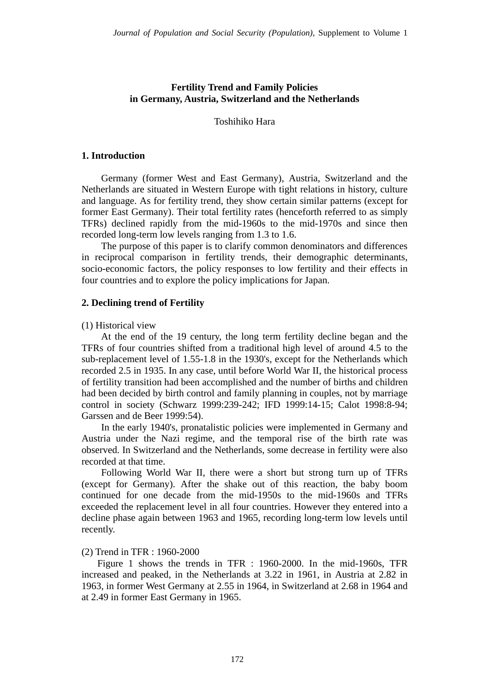## **Fertility Trend and Family Policies in Germany, Austria, Switzerland and the Netherlands**

Toshihiko Hara

## **1. Introduction**

Germany (former West and East Germany), Austria, Switzerland and the Netherlands are situated in Western Europe with tight relations in history, culture and language. As for fertility trend, they show certain similar patterns (except for former East Germany). Their total fertility rates (henceforth referred to as simply TFRs) declined rapidly from the mid-1960s to the mid-1970s and since then recorded long-term low levels ranging from 1.3 to 1.6.

The purpose of this paper is to clarify common denominators and differences in reciprocal comparison in fertility trends, their demographic determinants, socio-economic factors, the policy responses to low fertility and their effects in four countries and to explore the policy implications for Japan.

## **2. Declining trend of Fertility**

(1) Historical view

At the end of the 19 century, the long term fertility decline began and the TFRs of four countries shifted from a traditional high level of around 4.5 to the sub-replacement level of 1.55-1.8 in the 1930's, except for the Netherlands which recorded 2.5 in 1935. In any case, until before World War II, the historical process of fertility transition had been accomplished and the number of births and children had been decided by birth control and family planning in couples, not by marriage control in society (Schwarz 1999:239-242; IFD 1999:14-15; Calot 1998:8-94; Garssen and de Beer 1999:54).

In the early 1940's, pronatalistic policies were implemented in Germany and Austria under the Nazi regime, and the temporal rise of the birth rate was observed. In Switzerland and the Netherlands, some decrease in fertility were also recorded at that time.

Following World War II, there were a short but strong turn up of TFRs (except for Germany). After the shake out of this reaction, the baby boom continued for one decade from the mid-1950s to the mid-1960s and TFRs exceeded the replacement level in all four countries. However they entered into a decline phase again between 1963 and 1965, recording long-term low levels until recently.

## (2) Trend in TFR : 1960-2000

 Figure 1 shows the trends in TFR : 1960-2000. In the mid-1960s, TFR increased and peaked, in the Netherlands at 3.22 in 1961, in Austria at 2.82 in 1963, in former West Germany at 2.55 in 1964, in Switzerland at 2.68 in 1964 and at 2.49 in former East Germany in 1965.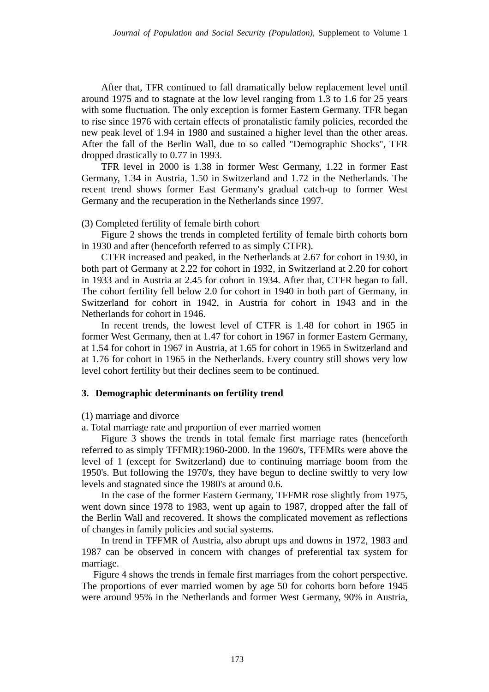After that, TFR continued to fall dramatically below replacement level until around 1975 and to stagnate at the low level ranging from 1.3 to 1.6 for 25 years with some fluctuation. The only exception is former Eastern Germany. TFR began to rise since 1976 with certain effects of pronatalistic family policies, recorded the new peak level of 1.94 in 1980 and sustained a higher level than the other areas. After the fall of the Berlin Wall, due to so called "Demographic Shocks", TFR dropped drastically to 0.77 in 1993.

TFR level in 2000 is 1.38 in former West Germany, 1.22 in former East Germany, 1.34 in Austria, 1.50 in Switzerland and 1.72 in the Netherlands. The recent trend shows former East Germany's gradual catch-up to former West Germany and the recuperation in the Netherlands since 1997.

## (3) Completed fertility of female birth cohort

Figure 2 shows the trends in completed fertility of female birth cohorts born in 1930 and after (henceforth referred to as simply CTFR).

CTFR increased and peaked, in the Netherlands at 2.67 for cohort in 1930, in both part of Germany at 2.22 for cohort in 1932, in Switzerland at 2.20 for cohort in 1933 and in Austria at 2.45 for cohort in 1934. After that, CTFR began to fall. The cohort fertility fell below 2.0 for cohort in 1940 in both part of Germany, in Switzerland for cohort in 1942, in Austria for cohort in 1943 and in the Netherlands for cohort in 1946.

In recent trends, the lowest level of CTFR is 1.48 for cohort in 1965 in former West Germany, then at 1.47 for cohort in 1967 in former Eastern Germany, at 1.54 for cohort in 1967 in Austria, at 1.65 for cohort in 1965 in Switzerland and at 1.76 for cohort in 1965 in the Netherlands. Every country still shows very low level cohort fertility but their declines seem to be continued.

## **3. Demographic determinants on fertility trend**

(1) marriage and divorce

a. Total marriage rate and proportion of ever married women

Figure 3 shows the trends in total female first marriage rates (henceforth referred to as simply TFFMR):1960-2000. In the 1960's, TFFMRs were above the level of 1 (except for Switzerland) due to continuing marriage boom from the 1950's. But following the 1970's, they have begun to decline swiftly to very low levels and stagnated since the 1980's at around 0.6.

In the case of the former Eastern Germany, TFFMR rose slightly from 1975, went down since 1978 to 1983, went up again to 1987, dropped after the fall of the Berlin Wall and recovered. It shows the complicated movement as reflections of changes in family policies and social systems.

In trend in TFFMR of Austria, also abrupt ups and downs in 1972, 1983 and 1987 can be observed in concern with changes of preferential tax system for marriage.

 Figure 4 shows the trends in female first marriages from the cohort perspective. The proportions of ever married women by age 50 for cohorts born before 1945 were around 95% in the Netherlands and former West Germany, 90% in Austria,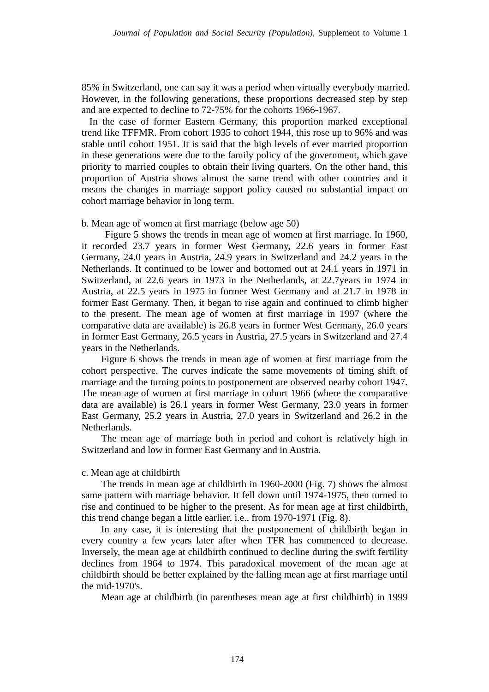85% in Switzerland, one can say it was a period when virtually everybody married. However, in the following generations, these proportions decreased step by step and are expected to decline to 72-75% for the cohorts 1966-1967.

 In the case of former Eastern Germany, this proportion marked exceptional trend like TFFMR. From cohort 1935 to cohort 1944, this rose up to 96% and was stable until cohort 1951. It is said that the high levels of ever married proportion in these generations were due to the family policy of the government, which gave priority to married couples to obtain their living quarters. On the other hand, this proportion of Austria shows almost the same trend with other countries and it means the changes in marriage support policy caused no substantial impact on cohort marriage behavior in long term.

### b. Mean age of women at first marriage (below age 50)

 Figure 5 shows the trends in mean age of women at first marriage. In 1960, it recorded 23.7 years in former West Germany, 22.6 years in former East Germany, 24.0 years in Austria, 24.9 years in Switzerland and 24.2 years in the Netherlands. It continued to be lower and bottomed out at 24.1 years in 1971 in Switzerland, at 22.6 years in 1973 in the Netherlands, at 22.7years in 1974 in Austria, at 22.5 years in 1975 in former West Germany and at 21.7 in 1978 in former East Germany. Then, it began to rise again and continued to climb higher to the present. The mean age of women at first marriage in 1997 (where the comparative data are available) is 26.8 years in former West Germany, 26.0 years in former East Germany, 26.5 years in Austria, 27.5 years in Switzerland and 27.4 years in the Netherlands.

Figure 6 shows the trends in mean age of women at first marriage from the cohort perspective. The curves indicate the same movements of timing shift of marriage and the turning points to postponement are observed nearby cohort 1947. The mean age of women at first marriage in cohort 1966 (where the comparative data are available) is 26.1 years in former West Germany, 23.0 years in former East Germany, 25.2 years in Austria, 27.0 years in Switzerland and 26.2 in the Netherlands.

The mean age of marriage both in period and cohort is relatively high in Switzerland and low in former East Germany and in Austria.

### c. Mean age at childbirth

The trends in mean age at childbirth in 1960-2000 (Fig. 7) shows the almost same pattern with marriage behavior. It fell down until 1974-1975, then turned to rise and continued to be higher to the present. As for mean age at first childbirth, this trend change began a little earlier, i.e., from 1970-1971 (Fig. 8).

In any case, it is interesting that the postponement of childbirth began in every country a few years later after when TFR has commenced to decrease. Inversely, the mean age at childbirth continued to decline during the swift fertility declines from 1964 to 1974. This paradoxical movement of the mean age at childbirth should be better explained by the falling mean age at first marriage until the mid-1970's.

Mean age at childbirth (in parentheses mean age at first childbirth) in 1999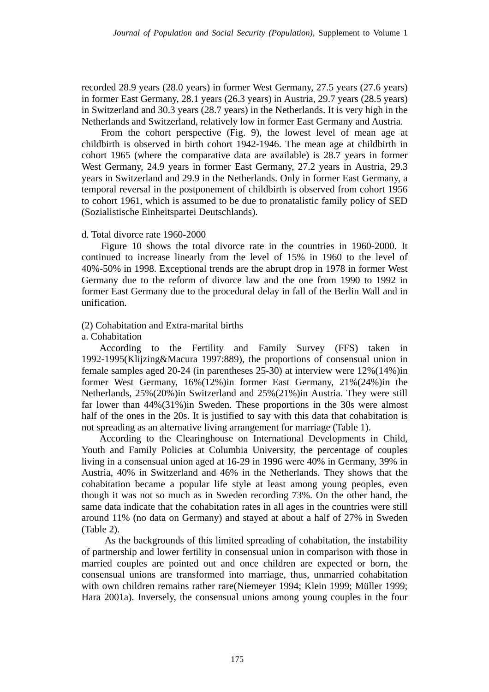recorded 28.9 years (28.0 years) in former West Germany, 27.5 years (27.6 years) in former East Germany, 28.1 years (26.3 years) in Austria, 29.7 years (28.5 years) in Switzerland and 30.3 years (28.7 years) in the Netherlands. It is very high in the Netherlands and Switzerland, relatively low in former East Germany and Austria.

From the cohort perspective (Fig. 9), the lowest level of mean age at childbirth is observed in birth cohort 1942-1946. The mean age at childbirth in cohort 1965 (where the comparative data are available) is 28.7 years in former West Germany, 24.9 years in former East Germany, 27.2 years in Austria, 29.3 years in Switzerland and 29.9 in the Netherlands. Only in former East Germany, a temporal reversal in the postponement of childbirth is observed from cohort 1956 to cohort 1961, which is assumed to be due to pronatalistic family policy of SED (Sozialistische Einheitspartei Deutschlands).

### d. Total divorce rate 1960-2000

Figure 10 shows the total divorce rate in the countries in 1960-2000. It continued to increase linearly from the level of 15% in 1960 to the level of 40%-50% in 1998. Exceptional trends are the abrupt drop in 1978 in former West Germany due to the reform of divorce law and the one from 1990 to 1992 in former East Germany due to the procedural delay in fall of the Berlin Wall and in unification.

## (2) Cohabitation and Extra-marital births

### a. Cohabitation

According to the Fertility and Family Survey (FFS) taken in 1992-1995(Klijzing&Macura 1997:889), the proportions of consensual union in female samples aged 20-24 (in parentheses 25-30) at interview were 12%(14%)in former West Germany, 16%(12%)in former East Germany, 21%(24%)in the Netherlands, 25%(20%)in Switzerland and 25%(21%)in Austria. They were still far lower than 44%(31%)in Sweden. These proportions in the 30s were almost half of the ones in the 20s. It is justified to say with this data that cohabitation is not spreading as an alternative living arrangement for marriage (Table 1).

According to the Clearinghouse on International Developments in Child, Youth and Family Policies at Columbia University, the percentage of couples living in a consensual union aged at 16-29 in 1996 were 40% in Germany, 39% in Austria, 40% in Switzerland and 46% in the Netherlands. They shows that the cohabitation became a popular life style at least among young peoples, even though it was not so much as in Sweden recording 73%. On the other hand, the same data indicate that the cohabitation rates in all ages in the countries were still around 11% (no data on Germany) and stayed at about a half of 27% in Sweden (Table 2).

 As the backgrounds of this limited spreading of cohabitation, the instability of partnership and lower fertility in consensual union in comparison with those in married couples are pointed out and once children are expected or born, the consensual unions are transformed into marriage, thus, unmarried cohabitation with own children remains rather rare(Niemeyer 1994; Klein 1999; Müller 1999; Hara 2001a). Inversely, the consensual unions among young couples in the four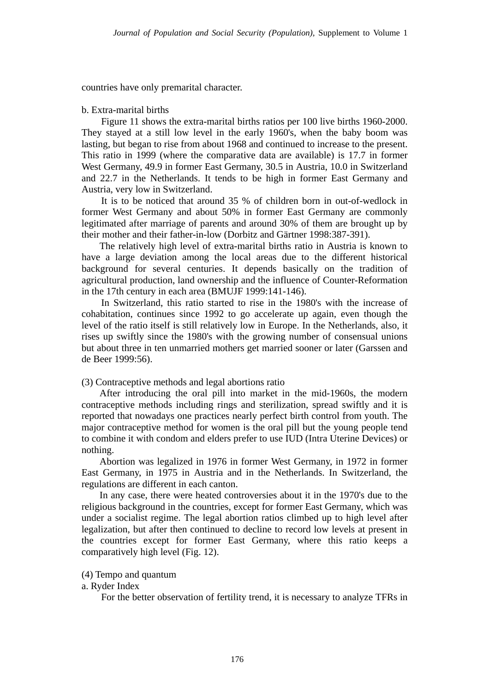countries have only premarital character.

#### b. Extra-marital births

Figure 11 shows the extra-marital births ratios per 100 live births 1960-2000. They stayed at a still low level in the early 1960's, when the baby boom was lasting, but began to rise from about 1968 and continued to increase to the present. This ratio in 1999 (where the comparative data are available) is 17.7 in former West Germany, 49.9 in former East Germany, 30.5 in Austria, 10.0 in Switzerland and 22.7 in the Netherlands. It tends to be high in former East Germany and Austria, very low in Switzerland.

It is to be noticed that around 35 % of children born in out-of-wedlock in former West Germany and about 50% in former East Germany are commonly legitimated after marriage of parents and around 30% of them are brought up by their mother and their father-in-low (Dorbitz and Gärtner 1998:387-391).

The relatively high level of extra-marital births ratio in Austria is known to have a large deviation among the local areas due to the different historical background for several centuries. It depends basically on the tradition of agricultural production, land ownership and the influence of Counter-Reformation in the 17th century in each area (BMUJF 1999:141-146).

In Switzerland, this ratio started to rise in the 1980's with the increase of cohabitation, continues since 1992 to go accelerate up again, even though the level of the ratio itself is still relatively low in Europe. In the Netherlands, also, it rises up swiftly since the 1980's with the growing number of consensual unions but about three in ten unmarried mothers get married sooner or later (Garssen and de Beer 1999:56).

#### (3) Contraceptive methods and legal abortions ratio

After introducing the oral pill into market in the mid-1960s, the modern contraceptive methods including rings and sterilization, spread swiftly and it is reported that nowadays one practices nearly perfect birth control from youth. The major contraceptive method for women is the oral pill but the young people tend to combine it with condom and elders prefer to use IUD (Intra Uterine Devices) or nothing.

Abortion was legalized in 1976 in former West Germany, in 1972 in former East Germany, in 1975 in Austria and in the Netherlands. In Switzerland, the regulations are different in each canton.

In any case, there were heated controversies about it in the 1970's due to the religious background in the countries, except for former East Germany, which was under a socialist regime. The legal abortion ratios climbed up to high level after legalization, but after then continued to decline to record low levels at present in the countries except for former East Germany, where this ratio keeps a comparatively high level (Fig. 12).

## (4) Tempo and quantum

## a. Ryder Index

For the better observation of fertility trend, it is necessary to analyze TFRs in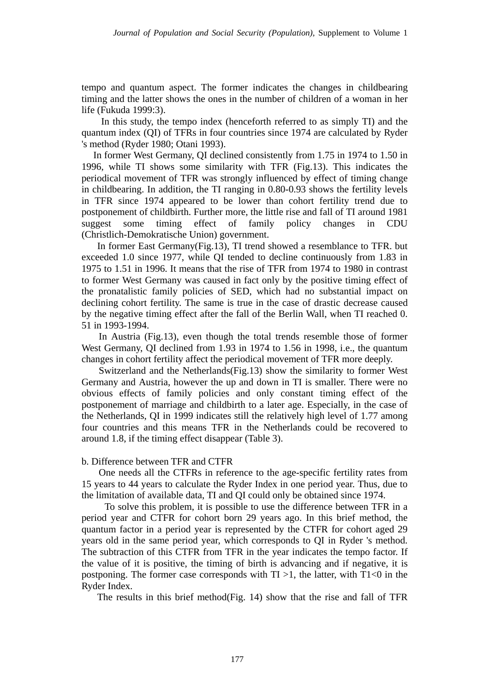tempo and quantum aspect. The former indicates the changes in childbearing timing and the latter shows the ones in the number of children of a woman in her life (Fukuda 1999:3).

In this study, the tempo index (henceforth referred to as simply TI) and the quantum index (QI) of TFRs in four countries since 1974 are calculated by Ryder 's method (Ryder 1980; Otani 1993).

 In former West Germany, QI declined consistently from 1.75 in 1974 to 1.50 in 1996, while TI shows some similarity with TFR (Fig.13). This indicates the periodical movement of TFR was strongly influenced by effect of timing change in childbearing. In addition, the TI ranging in 0.80-0.93 shows the fertility levels in TFR since 1974 appeared to be lower than cohort fertility trend due to postponement of childbirth. Further more, the little rise and fall of TI around 1981 suggest some timing effect of family policy changes in CDU (Christlich-Demokratische Union) government.

In former East Germany(Fig.13), TI trend showed a resemblance to TFR. but exceeded 1.0 since 1977, while QI tended to decline continuously from 1.83 in 1975 to 1.51 in 1996. It means that the rise of TFR from 1974 to 1980 in contrast to former West Germany was caused in fact only by the positive timing effect of the pronatalistic family policies of SED, which had no substantial impact on declining cohort fertility. The same is true in the case of drastic decrease caused by the negative timing effect after the fall of the Berlin Wall, when TI reached 0. 51 in 1993-1994.

In Austria (Fig.13), even though the total trends resemble those of former West Germany, QI declined from 1.93 in 1974 to 1.56 in 1998, i.e., the quantum changes in cohort fertility affect the periodical movement of TFR more deeply.

Switzerland and the Netherlands(Fig.13) show the similarity to former West Germany and Austria, however the up and down in TI is smaller. There were no obvious effects of family policies and only constant timing effect of the postponement of marriage and childbirth to a later age. Especially, in the case of the Netherlands, QI in 1999 indicates still the relatively high level of 1.77 among four countries and this means TFR in the Netherlands could be recovered to around 1.8, if the timing effect disappear (Table 3).

### b. Difference between TFR and CTFR

One needs all the CTFRs in reference to the age-specific fertility rates from 15 years to 44 years to calculate the Ryder Index in one period year. Thus, due to the limitation of available data, TI and QI could only be obtained since 1974.

To solve this problem, it is possible to use the difference between TFR in a period year and CTFR for cohort born 29 years ago. In this brief method, the quantum factor in a period year is represented by the CTFR for cohort aged 29 years old in the same period year, which corresponds to QI in Ryder 's method. The subtraction of this CTFR from TFR in the year indicates the tempo factor. If the value of it is positive, the timing of birth is advancing and if negative, it is postponing. The former case corresponds with  $TI > 1$ , the latter, with  $TI < 0$  in the Ryder Index.

The results in this brief method(Fig. 14) show that the rise and fall of TFR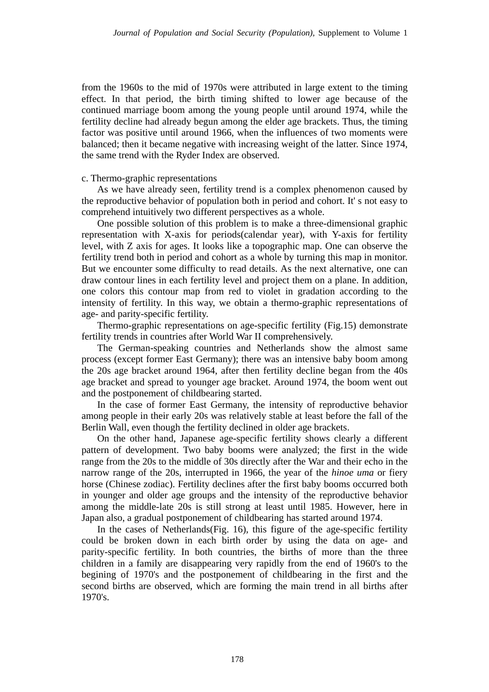from the 1960s to the mid of 1970s were attributed in large extent to the timing effect. In that period, the birth timing shifted to lower age because of the continued marriage boom among the young people until around 1974, while the fertility decline had already begun among the elder age brackets. Thus, the timing factor was positive until around 1966, when the influences of two moments were balanced; then it became negative with increasing weight of the latter. Since 1974, the same trend with the Ryder Index are observed.

## c. Thermo-graphic representations

As we have already seen, fertility trend is a complex phenomenon caused by the reproductive behavior of population both in period and cohort. It' s not easy to comprehend intuitively two different perspectives as a whole.

One possible solution of this problem is to make a three-dimensional graphic representation with X-axis for periods(calendar year), with Y-axis for fertility level, with Z axis for ages. It looks like a topographic map. One can observe the fertility trend both in period and cohort as a whole by turning this map in monitor. But we encounter some difficulty to read details. As the next alternative, one can draw contour lines in each fertility level and project them on a plane. In addition, one colors this contour map from red to violet in gradation according to the intensity of fertility. In this way, we obtain a thermo-graphic representations of age- and parity-specific fertility.

Thermo-graphic representations on age-specific fertility (Fig.15) demonstrate fertility trends in countries after World War II comprehensively.

The German-speaking countries and Netherlands show the almost same process (except former East Germany); there was an intensive baby boom among the 20s age bracket around 1964, after then fertility decline began from the 40s age bracket and spread to younger age bracket. Around 1974, the boom went out and the postponement of childbearing started.

In the case of former East Germany, the intensity of reproductive behavior among people in their early 20s was relatively stable at least before the fall of the Berlin Wall, even though the fertility declined in older age brackets.

On the other hand, Japanese age-specific fertility shows clearly a different pattern of development. Two baby booms were analyzed; the first in the wide range from the 20s to the middle of 30s directly after the War and their echo in the narrow range of the 20s, interrupted in 1966, the year of the *hinoe uma* or fiery horse (Chinese zodiac). Fertility declines after the first baby booms occurred both in younger and older age groups and the intensity of the reproductive behavior among the middle-late 20s is still strong at least until 1985. However, here in Japan also, a gradual postponement of childbearing has started around 1974.

In the cases of Netherlands(Fig. 16), this figure of the age-specific fertility could be broken down in each birth order by using the data on age- and parity-specific fertility. In both countries, the births of more than the three children in a family are disappearing very rapidly from the end of 1960's to the begining of 1970's and the postponement of childbearing in the first and the second births are observed, which are forming the main trend in all births after 1970's.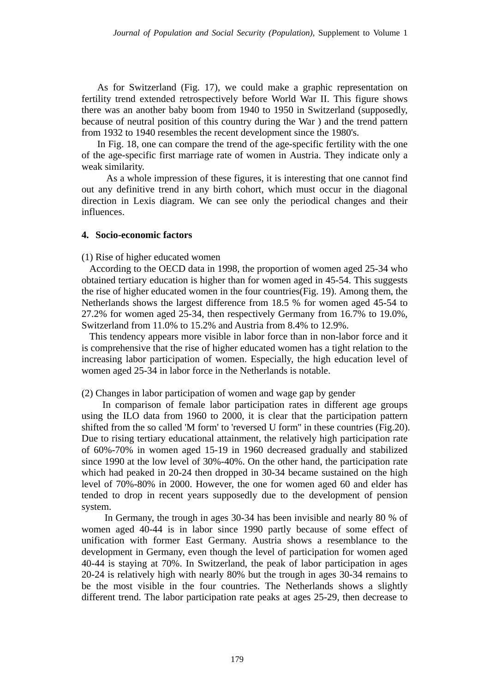As for Switzerland (Fig. 17), we could make a graphic representation on fertility trend extended retrospectively before World War II. This figure shows there was an another baby boom from 1940 to 1950 in Switzerland (supposedly, because of neutral position of this country during the War ) and the trend pattern from 1932 to 1940 resembles the recent development since the 1980's.

In Fig. 18, one can compare the trend of the age-specific fertility with the one of the age-specific first marriage rate of women in Austria. They indicate only a weak similarity.

 As a whole impression of these figures, it is interesting that one cannot find out any definitive trend in any birth cohort, which must occur in the diagonal direction in Lexis diagram. We can see only the periodical changes and their influences.

### **4. Socio-economic factors**

(1) Rise of higher educated women

 According to the OECD data in 1998, the proportion of women aged 25-34 who obtained tertiary education is higher than for women aged in 45-54. This suggests the rise of higher educated women in the four countries(Fig. 19). Among them, the Netherlands shows the largest difference from 18.5 % for women aged 45-54 to 27.2% for women aged 25-34, then respectively Germany from 16.7% to 19.0%, Switzerland from 11.0% to 15.2% and Austria from 8.4% to 12.9%.

 This tendency appears more visible in labor force than in non-labor force and it is comprehensive that the rise of higher educated women has a tight relation to the increasing labor participation of women. Especially, the high education level of women aged 25-34 in labor force in the Netherlands is notable.

(2) Changes in labor participation of women and wage gap by gender

In comparison of female labor participation rates in different age groups using the ILO data from 1960 to 2000, it is clear that the participation pattern shifted from the so called 'M form' to 'reversed U form'' in these countries (Fig.20). Due to rising tertiary educational attainment, the relatively high participation rate of 60%-70% in women aged 15-19 in 1960 decreased gradually and stabilized since 1990 at the low level of 30%-40%. On the other hand, the participation rate which had peaked in 20-24 then dropped in 30-34 became sustained on the high level of 70%-80% in 2000. However, the one for women aged 60 and elder has tended to drop in recent years supposedly due to the development of pension system.

In Germany, the trough in ages 30-34 has been invisible and nearly 80 % of women aged 40-44 is in labor since 1990 partly because of some effect of unification with former East Germany. Austria shows a resemblance to the development in Germany, even though the level of participation for women aged 40-44 is staying at 70%. In Switzerland, the peak of labor participation in ages 20-24 is relatively high with nearly 80% but the trough in ages 30-34 remains to be the most visible in the four countries. The Netherlands shows a slightly different trend. The labor participation rate peaks at ages 25-29, then decrease to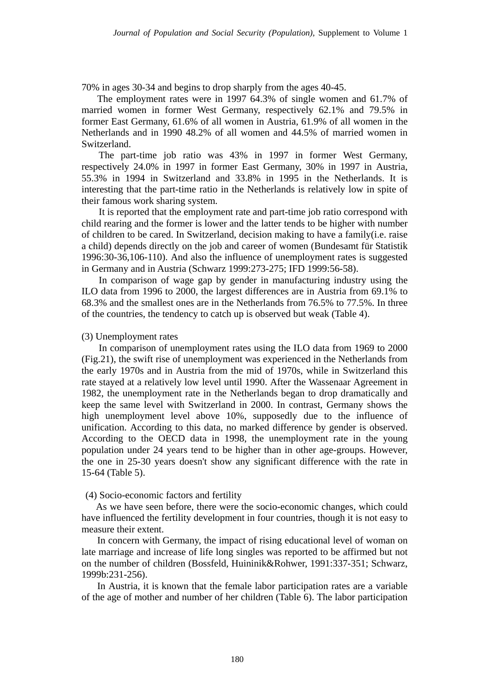70% in ages 30-34 and begins to drop sharply from the ages 40-45.

The employment rates were in 1997 64.3% of single women and 61.7% of married women in former West Germany, respectively 62.1% and 79.5% in former East Germany, 61.6% of all women in Austria, 61.9% of all women in the Netherlands and in 1990 48.2% of all women and 44.5% of married women in Switzerland.

The part-time job ratio was 43% in 1997 in former West Germany, respectively 24.0% in 1997 in former East Germany, 30% in 1997 in Austria, 55.3% in 1994 in Switzerland and 33.8% in 1995 in the Netherlands. It is interesting that the part-time ratio in the Netherlands is relatively low in spite of their famous work sharing system.

It is reported that the employment rate and part-time job ratio correspond with child rearing and the former is lower and the latter tends to be higher with number of children to be cared. In Switzerland, decision making to have a family(i.e. raise a child) depends directly on the job and career of women (Bundesamt für Statistik 1996:30-36,106-110). And also the influence of unemployment rates is suggested in Germany and in Austria (Schwarz 1999:273-275; IFD 1999:56-58).

In comparison of wage gap by gender in manufacturing industry using the ILO data from 1996 to 2000, the largest differences are in Austria from 69.1% to 68.3% and the smallest ones are in the Netherlands from 76.5% to 77.5%. In three of the countries, the tendency to catch up is observed but weak (Table 4).

#### (3) Unemployment rates

In comparison of unemployment rates using the ILO data from 1969 to 2000 (Fig.21), the swift rise of unemployment was experienced in the Netherlands from the early 1970s and in Austria from the mid of 1970s, while in Switzerland this rate stayed at a relatively low level until 1990. After the Wassenaar Agreement in 1982, the unemployment rate in the Netherlands began to drop dramatically and keep the same level with Switzerland in 2000. In contrast, Germany shows the high unemployment level above 10%, supposedly due to the influence of unification. According to this data, no marked difference by gender is observed. According to the OECD data in 1998, the unemployment rate in the young population under 24 years tend to be higher than in other age-groups. However, the one in 25-30 years doesn't show any significant difference with the rate in 15-64 (Table 5).

### (4) Socio-economic factors and fertility

As we have seen before, there were the socio-economic changes, which could have influenced the fertility development in four countries, though it is not easy to measure their extent.

In concern with Germany, the impact of rising educational level of woman on late marriage and increase of life long singles was reported to be affirmed but not on the number of children (Bossfeld, Huininik&Rohwer, 1991:337-351; Schwarz, 1999b:231-256).

In Austria, it is known that the female labor participation rates are a variable of the age of mother and number of her children (Table 6). The labor participation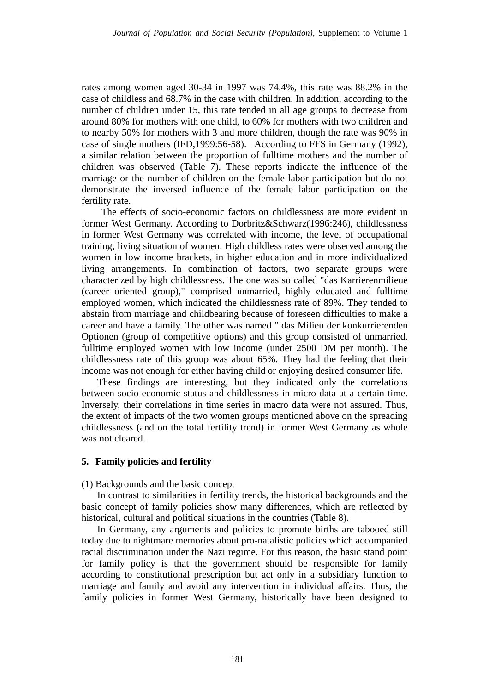rates among women aged 30-34 in 1997 was 74.4%, this rate was 88.2% in the case of childless and 68.7% in the case with children. In addition, according to the number of children under 15, this rate tended in all age groups to decrease from around 80% for mothers with one child, to 60% for mothers with two children and to nearby 50% for mothers with 3 and more children, though the rate was 90% in case of single mothers (IFD,1999:56-58). According to FFS in Germany (1992), a similar relation between the proportion of fulltime mothers and the number of children was observed (Table 7). These reports indicate the influence of the marriage or the number of children on the female labor participation but do not demonstrate the inversed influence of the female labor participation on the fertility rate.

 The effects of socio-economic factors on childlessness are more evident in former West Germany. According to Dorbritz&Schwarz(1996:246), childlessness in former West Germany was correlated with income, the level of occupational training, living situation of women. High childless rates were observed among the women in low income brackets, in higher education and in more individualized living arrangements. In combination of factors, two separate groups were characterized by high childlessness. The one was so called "das Karrierenmilieue (career oriented group)," comprised unmarried, highly educated and fulltime employed women, which indicated the childlessness rate of 89%. They tended to abstain from marriage and childbearing because of foreseen difficulties to make a career and have a family. The other was named " das Milieu der konkurrierenden Optionen (group of competitive options) and this group consisted of unmarried, fulltime employed women with low income (under 2500 DM per month). The childlessness rate of this group was about 65%. They had the feeling that their income was not enough for either having child or enjoying desired consumer life.

These findings are interesting, but they indicated only the correlations between socio-economic status and childlessness in micro data at a certain time. Inversely, their correlations in time series in macro data were not assured. Thus, the extent of impacts of the two women groups mentioned above on the spreading childlessness (and on the total fertility trend) in former West Germany as whole was not cleared.

## **5. Family policies and fertility**

### (1) Backgrounds and the basic concept

In contrast to similarities in fertility trends, the historical backgrounds and the basic concept of family policies show many differences, which are reflected by historical, cultural and political situations in the countries (Table 8).

In Germany, any arguments and policies to promote births are tabooed still today due to nightmare memories about pro-natalistic policies which accompanied racial discrimination under the Nazi regime. For this reason, the basic stand point for family policy is that the government should be responsible for family according to constitutional prescription but act only in a subsidiary function to marriage and family and avoid any intervention in individual affairs. Thus, the family policies in former West Germany, historically have been designed to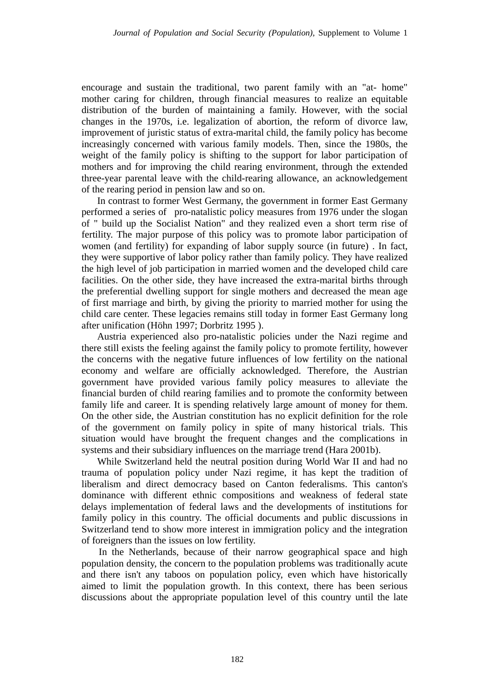encourage and sustain the traditional, two parent family with an "at- home" mother caring for children, through financial measures to realize an equitable distribution of the burden of maintaining a family. However, with the social changes in the 1970s, i.e. legalization of abortion, the reform of divorce law, improvement of juristic status of extra-marital child, the family policy has become increasingly concerned with various family models. Then, since the 1980s, the weight of the family policy is shifting to the support for labor participation of mothers and for improving the child rearing environment, through the extended three-year parental leave with the child-rearing allowance, an acknowledgement of the rearing period in pension law and so on.

In contrast to former West Germany, the government in former East Germany performed a series of pro-natalistic policy measures from 1976 under the slogan of " build up the Socialist Nation" and they realized even a short term rise of fertility. The major purpose of this policy was to promote labor participation of women (and fertility) for expanding of labor supply source (in future) . In fact, they were supportive of labor policy rather than family policy. They have realized the high level of job participation in married women and the developed child care facilities. On the other side, they have increased the extra-marital births through the preferential dwelling support for single mothers and decreased the mean age of first marriage and birth, by giving the priority to married mother for using the child care center. These legacies remains still today in former East Germany long after unification (Höhn 1997; Dorbritz 1995 ).

Austria experienced also pro-natalistic policies under the Nazi regime and there still exists the feeling against the family policy to promote fertility, however the concerns with the negative future influences of low fertility on the national economy and welfare are officially acknowledged. Therefore, the Austrian government have provided various family policy measures to alleviate the financial burden of child rearing families and to promote the conformity between family life and career. It is spending relatively large amount of money for them. On the other side, the Austrian constitution has no explicit definition for the role of the government on family policy in spite of many historical trials. This situation would have brought the frequent changes and the complications in systems and their subsidiary influences on the marriage trend (Hara 2001b).

While Switzerland held the neutral position during World War II and had no trauma of population policy under Nazi regime, it has kept the tradition of liberalism and direct democracy based on Canton federalisms. This canton's dominance with different ethnic compositions and weakness of federal state delays implementation of federal laws and the developments of institutions for family policy in this country. The official documents and public discussions in Switzerland tend to show more interest in immigration policy and the integration of foreigners than the issues on low fertility.

In the Netherlands, because of their narrow geographical space and high population density, the concern to the population problems was traditionally acute and there isn't any taboos on population policy, even which have historically aimed to limit the population growth. In this context, there has been serious discussions about the appropriate population level of this country until the late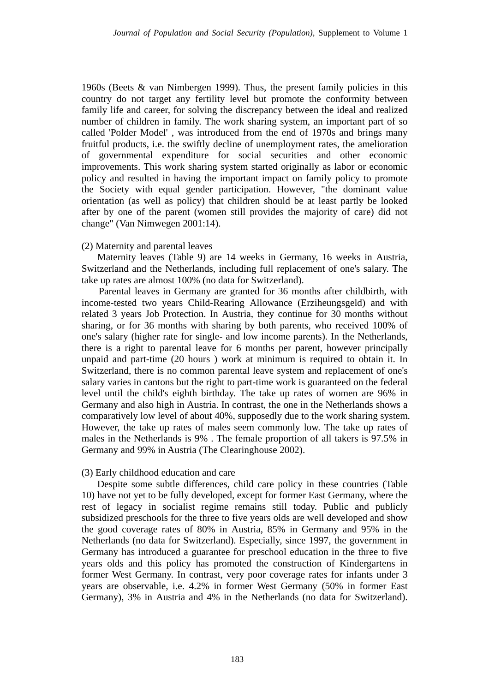1960s (Beets & van Nimbergen 1999). Thus, the present family policies in this country do not target any fertility level but promote the conformity between family life and career, for solving the discrepancy between the ideal and realized number of children in family. The work sharing system, an important part of so called 'Polder Model' , was introduced from the end of 1970s and brings many fruitful products, i.e. the swiftly decline of unemployment rates, the amelioration of governmental expenditure for social securities and other economic improvements. This work sharing system started originally as labor or economic policy and resulted in having the important impact on family policy to promote the Society with equal gender participation. However, "the dominant value orientation (as well as policy) that children should be at least partly be looked after by one of the parent (women still provides the majority of care) did not change" (Van Nimwegen 2001:14).

## (2) Maternity and parental leaves

Maternity leaves (Table 9) are 14 weeks in Germany, 16 weeks in Austria, Switzerland and the Netherlands, including full replacement of one's salary. The take up rates are almost 100% (no data for Switzerland).

Parental leaves in Germany are granted for 36 months after childbirth, with income-tested two years Child-Rearing Allowance (Erziheungsgeld) and with related 3 years Job Protection. In Austria, they continue for 30 months without sharing, or for 36 months with sharing by both parents, who received 100% of one's salary (higher rate for single- and low income parents). In the Netherlands, there is a right to parental leave for 6 months per parent, however principally unpaid and part-time (20 hours ) work at minimum is required to obtain it. In Switzerland, there is no common parental leave system and replacement of one's salary varies in cantons but the right to part-time work is guaranteed on the federal level until the child's eighth birthday. The take up rates of women are 96% in Germany and also high in Austria. In contrast, the one in the Netherlands shows a comparatively low level of about 40%, supposedly due to the work sharing system. However, the take up rates of males seem commonly low. The take up rates of males in the Netherlands is 9% . The female proportion of all takers is 97.5% in Germany and 99% in Austria (The Clearinghouse 2002).

## (3) Early childhood education and care

Despite some subtle differences, child care policy in these countries (Table 10) have not yet to be fully developed, except for former East Germany, where the rest of legacy in socialist regime remains still today. Public and publicly subsidized preschools for the three to five years olds are well developed and show the good coverage rates of 80% in Austria, 85% in Germany and 95% in the Netherlands (no data for Switzerland). Especially, since 1997, the government in Germany has introduced a guarantee for preschool education in the three to five years olds and this policy has promoted the construction of Kindergartens in former West Germany. In contrast, very poor coverage rates for infants under 3 years are observable, i.e. 4.2% in former West Germany (50% in former East Germany), 3% in Austria and 4% in the Netherlands (no data for Switzerland).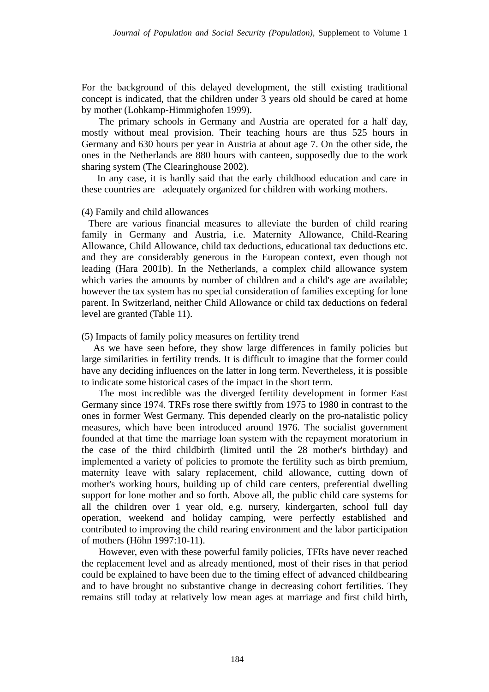For the background of this delayed development, the still existing traditional concept is indicated, that the children under 3 years old should be cared at home by mother (Lohkamp-Himmighofen 1999).

The primary schools in Germany and Austria are operated for a half day, mostly without meal provision. Their teaching hours are thus 525 hours in Germany and 630 hours per year in Austria at about age 7. On the other side, the ones in the Netherlands are 880 hours with canteen, supposedly due to the work sharing system (The Clearinghouse 2002).

In any case, it is hardly said that the early childhood education and care in these countries are adequately organized for children with working mothers.

### (4) Family and child allowances

There are various financial measures to alleviate the burden of child rearing family in Germany and Austria, i.e. Maternity Allowance, Child-Rearing Allowance, Child Allowance, child tax deductions, educational tax deductions etc. and they are considerably generous in the European context, even though not leading (Hara 2001b). In the Netherlands, a complex child allowance system which varies the amounts by number of children and a child's age are available; however the tax system has no special consideration of families excepting for lone parent. In Switzerland, neither Child Allowance or child tax deductions on federal level are granted (Table 11).

## (5) Impacts of family policy measures on fertility trend

 As we have seen before, they show large differences in family policies but large similarities in fertility trends. It is difficult to imagine that the former could have any deciding influences on the latter in long term. Nevertheless, it is possible to indicate some historical cases of the impact in the short term.

The most incredible was the diverged fertility development in former East Germany since 1974. TRFs rose there swiftly from 1975 to 1980 in contrast to the ones in former West Germany. This depended clearly on the pro-natalistic policy measures, which have been introduced around 1976. The socialist government founded at that time the marriage loan system with the repayment moratorium in the case of the third childbirth (limited until the 28 mother's birthday) and implemented a variety of policies to promote the fertility such as birth premium, maternity leave with salary replacement, child allowance, cutting down of mother's working hours, building up of child care centers, preferential dwelling support for lone mother and so forth. Above all, the public child care systems for all the children over 1 year old, e.g. nursery, kindergarten, school full day operation, weekend and holiday camping, were perfectly established and contributed to improving the child rearing environment and the labor participation of mothers (Höhn 1997:10-11).

However, even with these powerful family policies, TFRs have never reached the replacement level and as already mentioned, most of their rises in that period could be explained to have been due to the timing effect of advanced childbearing and to have brought no substantive change in decreasing cohort fertilities. They remains still today at relatively low mean ages at marriage and first child birth,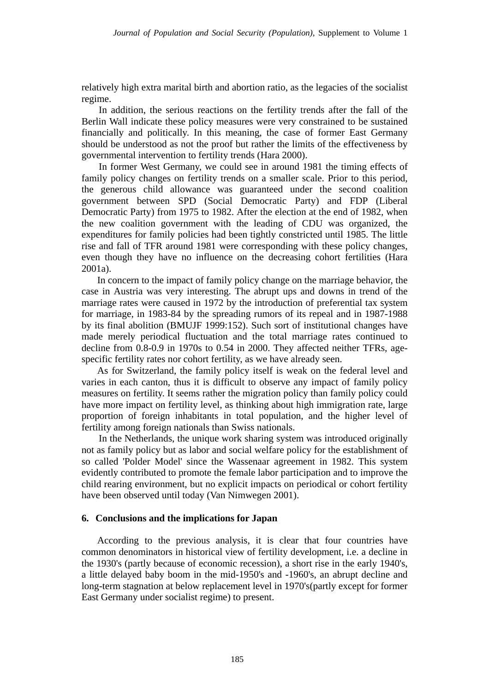relatively high extra marital birth and abortion ratio, as the legacies of the socialist regime.

In addition, the serious reactions on the fertility trends after the fall of the Berlin Wall indicate these policy measures were very constrained to be sustained financially and politically. In this meaning, the case of former East Germany should be understood as not the proof but rather the limits of the effectiveness by governmental intervention to fertility trends (Hara 2000).

In former West Germany, we could see in around 1981 the timing effects of family policy changes on fertility trends on a smaller scale. Prior to this period, the generous child allowance was guaranteed under the second coalition government between SPD (Social Democratic Party) and FDP (Liberal Democratic Party) from 1975 to 1982. After the election at the end of 1982, when the new coalition government with the leading of CDU was organized, the expenditures for family policies had been tightly constricted until 1985. The little rise and fall of TFR around 1981 were corresponding with these policy changes, even though they have no influence on the decreasing cohort fertilities (Hara 2001a).

In concern to the impact of family policy change on the marriage behavior, the case in Austria was very interesting. The abrupt ups and downs in trend of the marriage rates were caused in 1972 by the introduction of preferential tax system for marriage, in 1983-84 by the spreading rumors of its repeal and in 1987-1988 by its final abolition (BMUJF 1999:152). Such sort of institutional changes have made merely periodical fluctuation and the total marriage rates continued to decline from 0.8-0.9 in 1970s to 0.54 in 2000. They affected neither TFRs, agespecific fertility rates nor cohort fertility, as we have already seen.

As for Switzerland, the family policy itself is weak on the federal level and varies in each canton, thus it is difficult to observe any impact of family policy measures on fertility. It seems rather the migration policy than family policy could have more impact on fertility level, as thinking about high immigration rate, large proportion of foreign inhabitants in total population, and the higher level of fertility among foreign nationals than Swiss nationals.

In the Netherlands, the unique work sharing system was introduced originally not as family policy but as labor and social welfare policy for the establishment of so called 'Polder Model' since the Wassenaar agreement in 1982. This system evidently contributed to promote the female labor participation and to improve the child rearing environment, but no explicit impacts on periodical or cohort fertility have been observed until today (Van Nimwegen 2001).

### **6. Conclusions and the implications for Japan**

According to the previous analysis, it is clear that four countries have common denominators in historical view of fertility development, i.e. a decline in the 1930's (partly because of economic recession), a short rise in the early 1940's, a little delayed baby boom in the mid-1950's and -1960's, an abrupt decline and long-term stagnation at below replacement level in 1970's(partly except for former East Germany under socialist regime) to present.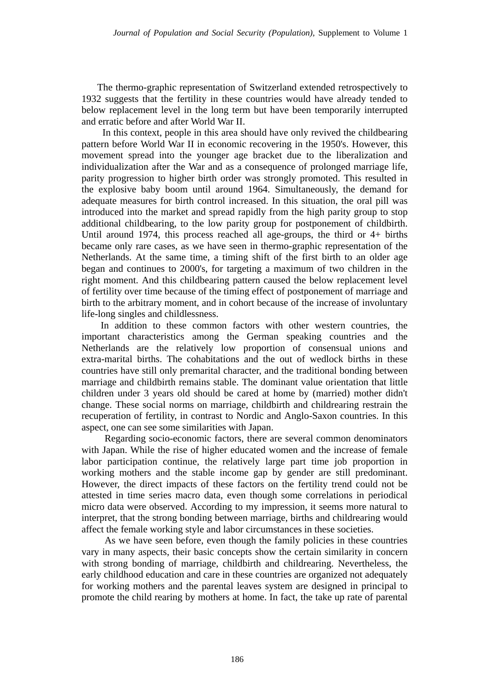The thermo-graphic representation of Switzerland extended retrospectively to 1932 suggests that the fertility in these countries would have already tended to below replacement level in the long term but have been temporarily interrupted and erratic before and after World War II.

In this context, people in this area should have only revived the childbearing pattern before World War II in economic recovering in the 1950's. However, this movement spread into the younger age bracket due to the liberalization and individualization after the War and as a consequence of prolonged marriage life, parity progression to higher birth order was strongly promoted. This resulted in the explosive baby boom until around 1964. Simultaneously, the demand for adequate measures for birth control increased. In this situation, the oral pill was introduced into the market and spread rapidly from the high parity group to stop additional childbearing, to the low parity group for postponement of childbirth. Until around 1974, this process reached all age-groups, the third or 4+ births became only rare cases, as we have seen in thermo-graphic representation of the Netherlands. At the same time, a timing shift of the first birth to an older age began and continues to 2000's, for targeting a maximum of two children in the right moment. And this childbearing pattern caused the below replacement level of fertility over time because of the timing effect of postponement of marriage and birth to the arbitrary moment, and in cohort because of the increase of involuntary life-long singles and childlessness.

In addition to these common factors with other western countries, the important characteristics among the German speaking countries and the Netherlands are the relatively low proportion of consensual unions and extra-marital births. The cohabitations and the out of wedlock births in these countries have still only premarital character, and the traditional bonding between marriage and childbirth remains stable. The dominant value orientation that little children under 3 years old should be cared at home by (married) mother didn't change. These social norms on marriage, childbirth and childrearing restrain the recuperation of fertility, in contrast to Nordic and Anglo-Saxon countries. In this aspect, one can see some similarities with Japan.

Regarding socio-economic factors, there are several common denominators with Japan. While the rise of higher educated women and the increase of female labor participation continue, the relatively large part time job proportion in working mothers and the stable income gap by gender are still predominant. However, the direct impacts of these factors on the fertility trend could not be attested in time series macro data, even though some correlations in periodical micro data were observed. According to my impression, it seems more natural to interpret, that the strong bonding between marriage, births and childrearing would affect the female working style and labor circumstances in these societies.

As we have seen before, even though the family policies in these countries vary in many aspects, their basic concepts show the certain similarity in concern with strong bonding of marriage, childbirth and childrearing. Nevertheless, the early childhood education and care in these countries are organized not adequately for working mothers and the parental leaves system are designed in principal to promote the child rearing by mothers at home. In fact, the take up rate of parental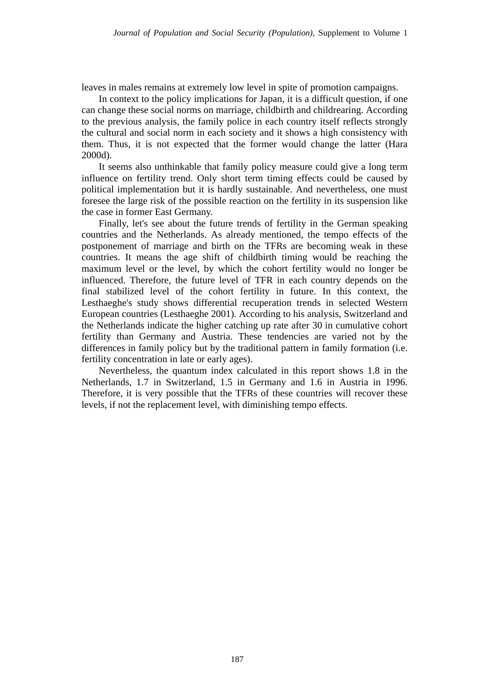leaves in males remains at extremely low level in spite of promotion campaigns.

In context to the policy implications for Japan, it is a difficult question, if one can change these social norms on marriage, childbirth and childrearing. According to the previous analysis, the family police in each country itself reflects strongly the cultural and social norm in each society and it shows a high consistency with them. Thus, it is not expected that the former would change the latter (Hara 2000d).

It seems also unthinkable that family policy measure could give a long term influence on fertility trend. Only short term timing effects could be caused by political implementation but it is hardly sustainable. And nevertheless, one must foresee the large risk of the possible reaction on the fertility in its suspension like the case in former East Germany.

Finally, let's see about the future trends of fertility in the German speaking countries and the Netherlands. As already mentioned, the tempo effects of the postponement of marriage and birth on the TFRs are becoming weak in these countries. It means the age shift of childbirth timing would be reaching the maximum level or the level, by which the cohort fertility would no longer be influenced. Therefore, the future level of TFR in each country depends on the final stabilized level of the cohort fertility in future. In this context, the Lesthaeghe's study shows differential recuperation trends in selected Western European countries (Lesthaeghe 2001). According to his analysis, Switzerland and the Netherlands indicate the higher catching up rate after 30 in cumulative cohort fertility than Germany and Austria. These tendencies are varied not by the differences in family policy but by the traditional pattern in family formation (i.e. fertility concentration in late or early ages).

Nevertheless, the quantum index calculated in this report shows 1.8 in the Netherlands, 1.7 in Switzerland, 1.5 in Germany and 1.6 in Austria in 1996. Therefore, it is very possible that the TFRs of these countries will recover these levels, if not the replacement level, with diminishing tempo effects.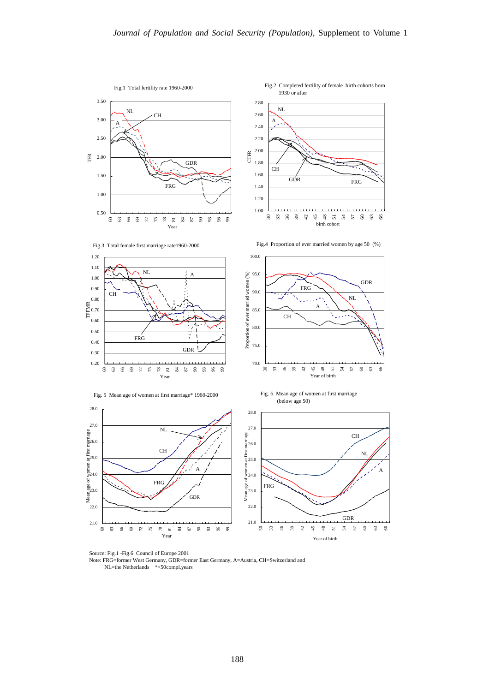

Source: Fig.1 -Fig.6 Council of Europe 2001

 Note: FRG=former West Germany, GDR=former East Germany, A=Austria, CH=Switzerland and NL=the Netherlands \*<50compl.years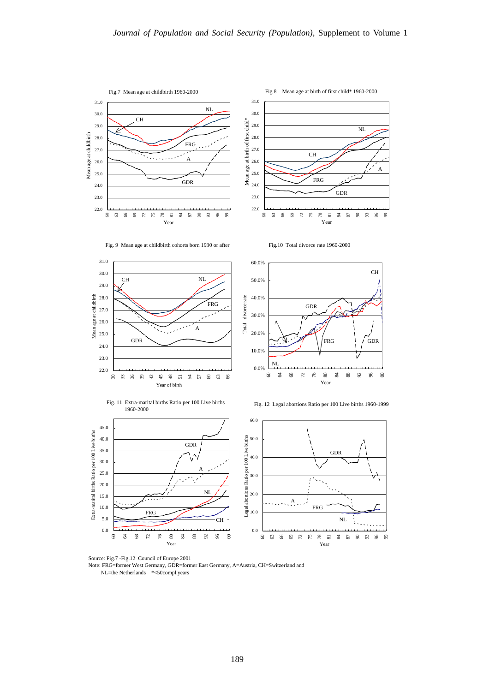













Fig. 12 Legal abortions Ratio per 100 Live births 1960-1999





 Note: FRG=former West Germany, GDR=former East Germany, A=Austria, CH=Switzerland and NL=the Netherlands \*<50compl.years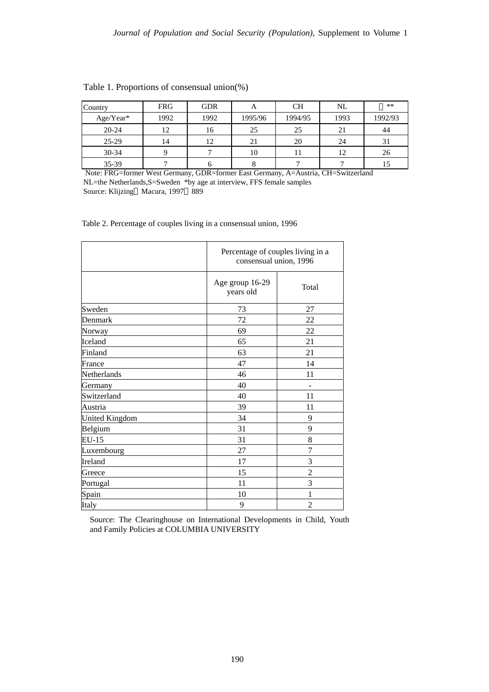| Country   | <b>FRG</b> | <b>GDR</b> | A       | <b>CH</b> | NL   | $**$    |
|-----------|------------|------------|---------|-----------|------|---------|
| Age/Year* | 1992       | 1992       | 1995/96 | 1994/95   | 1993 | 1992/93 |
| $20 - 24$ | 12         | 16         | 25      | 25        | 21   | 44      |
| $25-29$   | 14         | 12         | 21      | 20        | 24   | 31      |
| $30 - 34$ |            |            | 10      |           | 12   | 26      |
| 35-39     |            |            |         |           |      |         |

Table 1. Proportions of consensual union(%)

 Note: FRG=former West Germany, GDR=former East Germany, A=Austria, CH=Switzerland NL=the Netherlands,S=Sweden \*by age at interview, FFS female samples Source: Klijzing Macura, 1997 889

Table 2. Percentage of couples living in a consensual union, 1996

|                       |                              | Percentage of couples living in a<br>consensual union, 1996 |  |  |
|-----------------------|------------------------------|-------------------------------------------------------------|--|--|
|                       | Age group 16-29<br>years old | Total                                                       |  |  |
| Sweden                | 73                           | 27                                                          |  |  |
| Denmark               | 72                           | 22                                                          |  |  |
| Norway                | 69                           | 22                                                          |  |  |
| Iceland               | 65                           | 21                                                          |  |  |
| Finland               | 63                           | 21                                                          |  |  |
| France                | 47                           | 14                                                          |  |  |
| Netherlands           | 46                           | 11                                                          |  |  |
| Germany               | 40                           | -                                                           |  |  |
| Switzerland           | 40                           | 11                                                          |  |  |
| Austria               | 39                           | 11                                                          |  |  |
| <b>United Kingdom</b> | 34                           | 9                                                           |  |  |
| Belgium               | 31                           | 9                                                           |  |  |
| EU-15                 | 31                           | 8                                                           |  |  |
| Luxembourg            | 27                           | 7                                                           |  |  |
| Ireland               | 17                           | 3                                                           |  |  |
| Greece                | 15                           | $\overline{2}$                                              |  |  |
| Portugal              | 11                           | 3                                                           |  |  |
| Spain                 | 10                           | 1                                                           |  |  |
| Italy                 | 9                            | $\overline{2}$                                              |  |  |

 and Family Policies at COLUMBIA UNIVERSITY Source: The Clearinghouse on International Developments in Child, Youth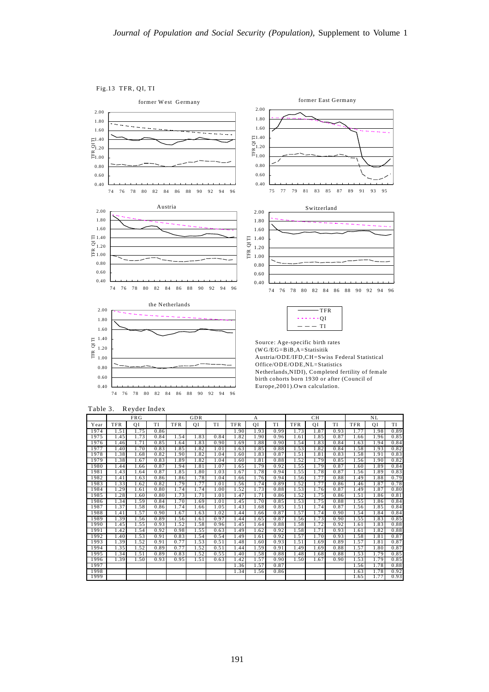#### Fig.13 TFR, QI, TI

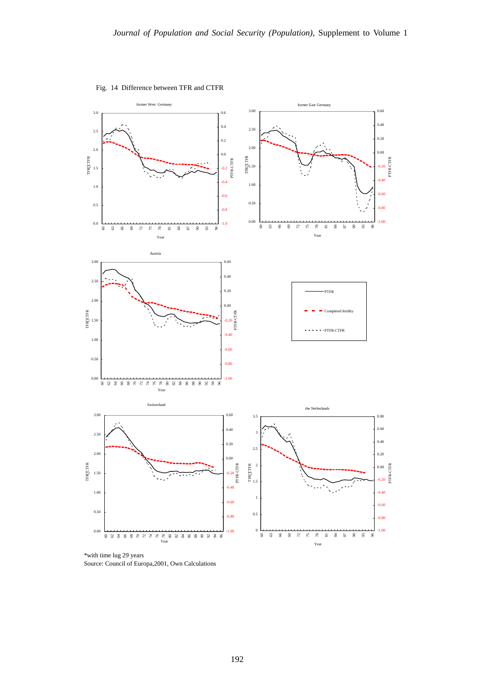

Fig. 14 Difference between TFR and CTFR

\*with time lug 29 years Source: Council of Europa,2001, Own Calculations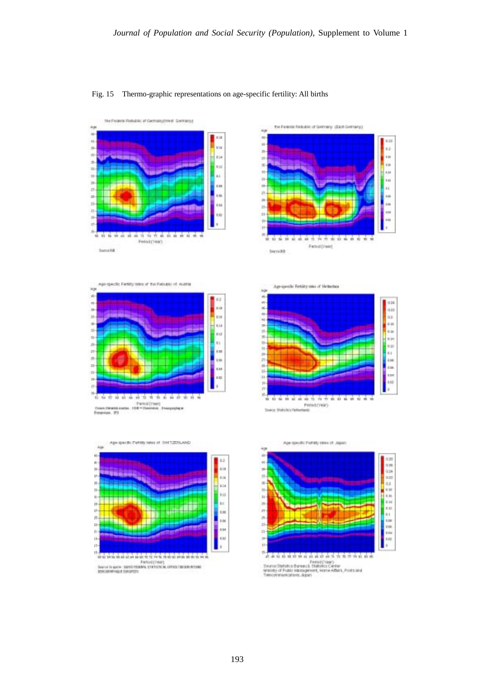





5; Firtility takes of the Fiabublic of Austria





othe Fertility sales of Netherless Apro



eatic Ferrity rates of Japan

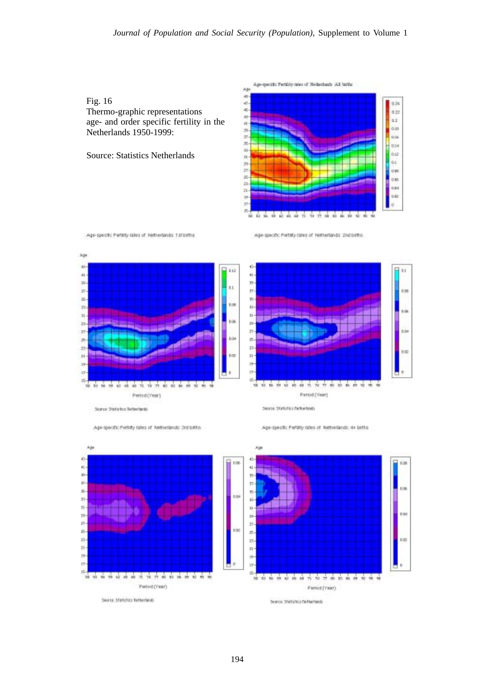

Source: Statistics Netherlands



Age-specific Fertility rates of Netherlands: 2nd births

Age specific Ferrity rates of Netherlands: 1 stibirths





Age-specific Fertility rates of Netherlands: 3rd bittis

Age-specific Pertility rates of Notherlands: 4+ births

Serre Statutes between

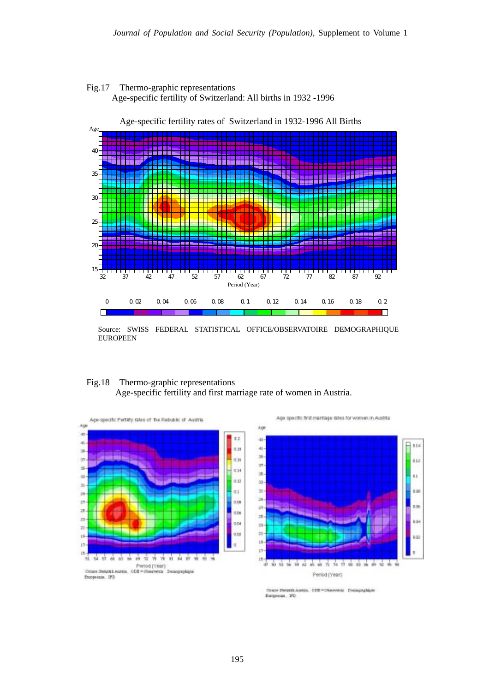



Source: SWISS FEDERAL STATISTICAL OFFICE/OBSERVATOIRE DEMOGRAPHIQUE EUROPEEN

# Fig.18 Thermo-graphic representations

Age-specific fertility and first marriage rate of women in Austria.



Age specific first marriage sales for women in Austria



Dealer ZMartin Avenue, OZE .- Observator Demographical Europecia, 20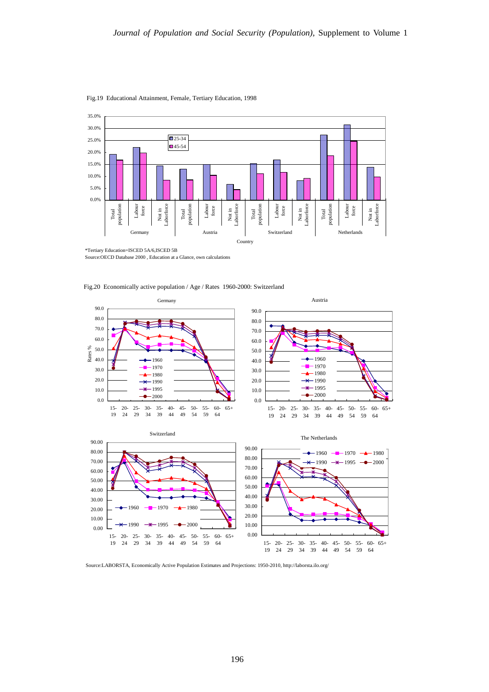

Fig.19 Educational Attainment, Female, Tertiary Education, 1998

\*Tertiary Education=ISCED 5A/6,ISCED 5B Source:OECD Database 2000 , Education at a Glance, own calculations

 $1960$   $1970$   $1980$ 

 $1990$   $\rightarrow$   $1995$   $\rightarrow$  2000

Fig.20 Economically active population / Age / Rates 1960-2000: Switzerland



15- 19 20- 24 25- 29 30- 34 35- 39 40- 44 45- 49 50- 55- 54 59 60- 65+ 64 0.00 15- 20- 19 24 29 34 39 25- 30- 35- 40- 45- 50- 55- 60- 65+ 44 49 54 59

10.00 20.00 30.00 40.00

64

Source:LABORSTA, Economically Active Population Estimates and Projections: 1950-2010, http://laborsta.ilo.org/

0.00 10.00 20.00 30.00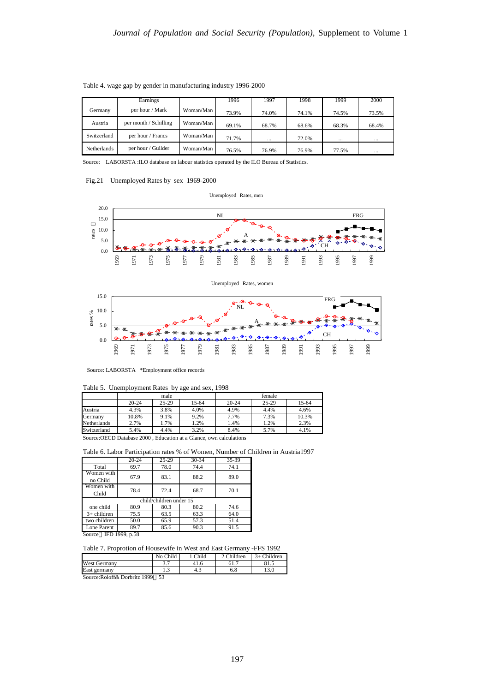|                    | Earnings              |           | 1996  | 1997     | 1998  | 1999     | 2000     |
|--------------------|-----------------------|-----------|-------|----------|-------|----------|----------|
| Germany            | per hour / Mark       | Woman/Man | 73.9% | 74.0%    | 74.1% | 74.5%    | 73.5%    |
| Austria            | per month / Schilling | Woman/Man | 69.1% | 68.7%    | 68.6% | 68.3%    | 68.4%    |
| Switzerland        | per hour / Francs     | Woman/Man | 71.7% | $\cdots$ | 72.0% | $\cdots$ | $\cdots$ |
| <b>Netherlands</b> | per hour / Guilder    | Woman/Man | 76.5% | 76.9%    | 76.9% | 77.5%    | $\cdots$ |

Table 4. wage gap by gender in manufacturing industry 1996-2000

Source: LABORSTA :ILO database on labour statistics operated by the ILO Bureau of Statistics.

#### Fig.21 Unemployed Rates by sex 1969-2000







Source: LABORSTA \*Employment office records

|             | male      |           |       | female    |           |       |
|-------------|-----------|-----------|-------|-----------|-----------|-------|
|             | $20 - 24$ | $25 - 29$ | 15-64 | $20 - 24$ | $25 - 29$ | 15-64 |
| Austria     | 4.3%      | 3.8%      | 4.0%  | 4.9%      | 4.4%      | 4.6%  |
| Germany     | 10.8%     | 9.1%      | 9.2%  | 7.7%      | 7.3%      | 10.3% |
| Netherlands | 2.7%      | L.7%      | 1.2%  | 1.4%      | 1.2%      | 2.3%  |
| Switzerland | 5.4%      | 4.4%      | 3.2%  | 8.4%      | 5.7%      | 4.1%  |

Table 5. Unemployment Rates by age and sex, 1998

Source:OECD Database 2000 , Education at a Glance, own calculations

#### Table 6. Labor Participation rates % of Women, Number of Children in Austria1997

|                        | $20 - 24$ | 25-29                   | 30-34 | 35-39 |
|------------------------|-----------|-------------------------|-------|-------|
| Total                  | 69.7      | 78.0                    | 74.4  | 74.1  |
| Women with<br>no Child | 67.9      | 83.1                    | 88.2  | 89.0  |
| Women with<br>Child    | 78.4      | 72.4                    | 68.7  | 70.1  |
|                        |           |                         |       |       |
|                        |           | child/children under 15 |       |       |
| one child              | 80.9      | 80.3                    | 80.2  | 74.6  |
| $3+$ children          | 75.5      | 63.5                    | 63.3  | 64.0  |
| two children           | 50.0      | 65.9                    | 57.3  | 51.4  |
| Lone Parent            | 89.7      | 85.6                    | 90.3  | 91.5  |

Table 7. Proprotion of Housewife in West and East Germany -FFS 1992

|                               | No Child | Child | $^{\circ}$ Children | $3+$ Children |
|-------------------------------|----------|-------|---------------------|---------------|
| <b>West Germany</b>           | J.I      |       | 01.,                | 01.           |
| East germany                  | ر…       | 4.3   | 0.0                 |               |
| $P1$ $C0$<br>$P_1$ 1 $(1.000$ | $\sim$   |       |                     |               |

Source:Roloff& Dorbritz 1999 53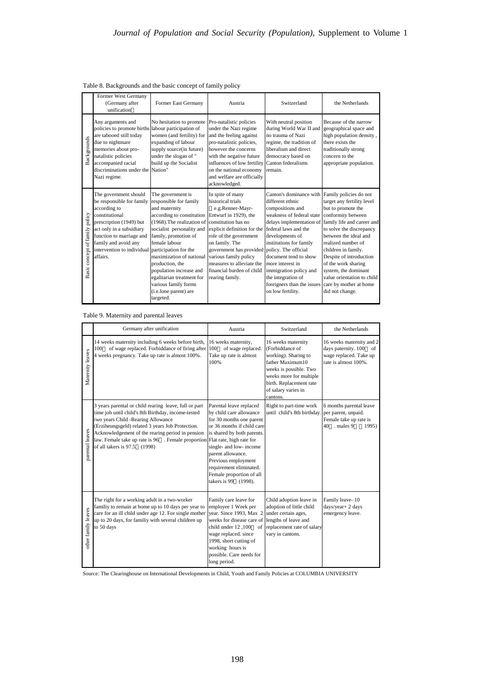|                                | Former West Germany<br>(Germany after<br>unification                                                                                                                                                                                                            | Former East Germany                                                                                                                                                                                                                                                                                                                                                                                          | Austria                                                                                                                                                                                                                                                                                                         | Switzerland                                                                                                                                                                                                                                                                                                                                                                                     | the Netherlands                                                                                                                                                                                                                                                                                     |
|--------------------------------|-----------------------------------------------------------------------------------------------------------------------------------------------------------------------------------------------------------------------------------------------------------------|--------------------------------------------------------------------------------------------------------------------------------------------------------------------------------------------------------------------------------------------------------------------------------------------------------------------------------------------------------------------------------------------------------------|-----------------------------------------------------------------------------------------------------------------------------------------------------------------------------------------------------------------------------------------------------------------------------------------------------------------|-------------------------------------------------------------------------------------------------------------------------------------------------------------------------------------------------------------------------------------------------------------------------------------------------------------------------------------------------------------------------------------------------|-----------------------------------------------------------------------------------------------------------------------------------------------------------------------------------------------------------------------------------------------------------------------------------------------------|
| Backgrounds                    | Any arguments and<br>policies to promote births labour participation of<br>are tabooed still today<br>due to nightmare<br>memories about pro-<br>natalistic policies<br>accompanied racial<br>discriminations under the Nation"<br>Nazi regime.                 | No hesitation to promote<br>women (and fertility) for<br>expanding of labour<br>supply source(in future)<br>under the slogan of "<br>build up the Socialist                                                                                                                                                                                                                                                  | Pro-natalistic policies<br>under the Nazi regime<br>and the feeling against<br>pro-natalistic policies,<br>however the concerns<br>with the negative future<br>influences of low fertility Canton federalisms<br>on the national economy<br>and welfare are officially<br>acknowledged.                         | With neutral position<br>during World War II and<br>no trauma of Nazi<br>regime, the tradition of<br>liberalism and direct<br>democracy based on<br>remain.                                                                                                                                                                                                                                     | Because of the narrow<br>geographical space and<br>high population density,<br>there exists the<br>traditionally strong<br>concern to the<br>appropriate population.                                                                                                                                |
| Basic concept of family policy | The government should<br>be responsible for family<br>according to<br>constitutional<br>prescription (1949) but<br>act only in a subsidiary<br>function to marriage and<br>family and avoid any<br>intervention to individual participation for the<br>affairs. | The government is<br>responsible for family<br>and maternity<br>according to constitution Entwurf in 1929), the<br>(1968). The realization of constitution has no<br>socialist personality and<br>family, promotion of<br>female labour<br>maximization of national<br>production, the<br>population increase and<br>egalitarian treatment for<br>various family forms<br>(i.e.lone parent) are<br>targeted. | In spite of many<br>historical trials<br>e.g.Renner-Mayr-<br>explicit definition for the federal laws and the<br>role of the government<br>on family. The<br>government has provided policy. The official<br>various family policy<br>measures to alleviate the<br>financial burden of child<br>rearing family. | Canton's dominance with Family policies do not<br>different ethnic<br>compositions and<br>weakness of federal state<br>delays implementation of family life and career and<br>developments of<br>institutions for family<br>document tend to show<br>more interest in<br>immigration policy and<br>the integration of<br>foreigners than the issues care by mother at home<br>on low fertility. | target any fertility level<br>but to promote the<br>conformity between<br>to solve the discrepancy<br>between the ideal and<br>realized number of<br>children in family.<br>Despite of introduction<br>of the work sharing<br>system, the dominant<br>value orientation to child<br>did not change. |

#### Table 8. Backgrounds and the basic concept of family policy

| Backgrounds                    | due to nightmare<br>memories about pro-<br>natalistic policies<br>accompanied racial<br>discriminations under the<br>Nazi regime.                                                                                                                                                                                                               | $\frac{1}{2}$<br>expanding of labour<br>supply source(in future)<br>under the slogan of "<br>build up the Socialist<br>Nation"                                                                                                                                                                                                                                                              | pro-natalistic policies,<br>however the concerns<br>with the negative future<br>influences of low fertility<br>on the national economy<br>and welfare are officially<br>acknowledged.                                                                                                                                        | regime, the tradition of<br>liberalism and direct<br>democracy based on<br>Canton federalisms<br>remain.                                                                                                                                                                                                                                                                                      | ngu popumuon uenong<br>there exists the<br>traditionally strong<br>concern to the<br>appropriate population.                                                                                                                                                                                                                                                |
|--------------------------------|-------------------------------------------------------------------------------------------------------------------------------------------------------------------------------------------------------------------------------------------------------------------------------------------------------------------------------------------------|---------------------------------------------------------------------------------------------------------------------------------------------------------------------------------------------------------------------------------------------------------------------------------------------------------------------------------------------------------------------------------------------|------------------------------------------------------------------------------------------------------------------------------------------------------------------------------------------------------------------------------------------------------------------------------------------------------------------------------|-----------------------------------------------------------------------------------------------------------------------------------------------------------------------------------------------------------------------------------------------------------------------------------------------------------------------------------------------------------------------------------------------|-------------------------------------------------------------------------------------------------------------------------------------------------------------------------------------------------------------------------------------------------------------------------------------------------------------------------------------------------------------|
| Basic concept of family policy | The government should<br>be responsible for family<br>according to<br>constitutional<br>prescription (1949) but<br>act only in a subsidiary<br>function to marriage and<br>family and avoid any<br>intervention to individual<br>affairs.                                                                                                       | The government is<br>responsible for family<br>and maternity<br>according to constitution<br>(1968). The realization of<br>socialist personality and<br>family, promotion of<br>female labour<br>participation for the<br>maximization of national<br>production, the<br>population increase and<br>egalitarian treatment for<br>various family forms<br>(i.e.lone parent) are<br>targeted. | In spite of many<br>historical trials<br>e.g.Renner-Mayr-<br>Entwurf in 1929), the<br>constitution has no<br>explicit definition for the<br>role of the government<br>on family. The<br>government has provided<br>various family policy<br>measures to alleviate the<br>financial burden of child<br>rearing family.        | Canton's dominance with Family policies do not<br>different ethnic<br>compositions and<br>weakness of federal state<br>delays implementation of<br>federal laws and the<br>developments of<br>institutions for family<br>policy. The official<br>document tend to show<br>more interest in<br>immigration policy and<br>the integration of<br>foreigners than the issues<br>on low fertility. | target any fertility level<br>but to promote the<br>conformity between<br>family life and career and<br>to solve the discrepancy<br>between the ideal and<br>realized number of<br>children in family.<br>Despite of introduction<br>of the work sharing<br>system, the dominant<br>value orientation to child<br>care by mother at home<br>did not change. |
|                                | Table 9. Maternity and parental leaves                                                                                                                                                                                                                                                                                                          |                                                                                                                                                                                                                                                                                                                                                                                             |                                                                                                                                                                                                                                                                                                                              |                                                                                                                                                                                                                                                                                                                                                                                               |                                                                                                                                                                                                                                                                                                                                                             |
|                                |                                                                                                                                                                                                                                                                                                                                                 | Germany after unification                                                                                                                                                                                                                                                                                                                                                                   | Austria                                                                                                                                                                                                                                                                                                                      | Switzerland                                                                                                                                                                                                                                                                                                                                                                                   | the Netherlands                                                                                                                                                                                                                                                                                                                                             |
| Maternity leaves               | 14 weeks maternity including 6 weeks before birth,<br>of wage replaced. Forbiddance of firing after<br>100<br>4 weeks pregnancy. Take up rate is almost 100%.                                                                                                                                                                                   |                                                                                                                                                                                                                                                                                                                                                                                             | 16 weeks maternity,<br>100<br>of wage replaced.<br>Take up rate is almost<br>100%                                                                                                                                                                                                                                            | 16 weeks maternity<br>(Forbiddance of<br>working). Sharing to<br>father Maximum10<br>weeks is possible. Two<br>weeks more for multiple<br>birth. Replacement rate<br>of salary varies in<br>cantons.                                                                                                                                                                                          | 16 weeks maternity and 2<br>days paternity. 100<br>of<br>wage replaced. Take up<br>rate is almost 100%.                                                                                                                                                                                                                                                     |
| parental leaves                | 3 years parental or child rearing leave, full or part<br>time job until child's 8th Birthday, income-tested<br>two years Child -Rearing Allowance<br>(Erziheungsgeld) related 3 years Job Protection.<br>Acknowledgement of the rearing period in pension<br>law. Female take up rate is 96 . Female proportion<br>of all takers is 97.5 (1998) |                                                                                                                                                                                                                                                                                                                                                                                             | Parental leave replaced<br>by child care allowance<br>for 30 months one parent<br>or 36 months if child care<br>is shared by both parents.<br>Flat rate, high rate for<br>single- and low- income<br>parent allowance.<br>Previous employment<br>requirement eliminated.<br>Female proportion of all<br>takers is 99 (1998). | Right to part-time work<br>until child's 8th birthday.                                                                                                                                                                                                                                                                                                                                        | 6 months parental leave<br>per parent, unpaid.<br>Female take up rate is<br>. males 9<br>1995)<br>40                                                                                                                                                                                                                                                        |
| other family leaves            | The right for a working adult in a two-worker<br>familiy to remain at home up to 10 days per year to<br>care for an ill child under age 12. For single mother<br>up to 20 days, for familiy with several children up<br>to 50 days                                                                                                              |                                                                                                                                                                                                                                                                                                                                                                                             | Family care leave for<br>employee 1 Week per<br>year. Since 1993, Max 2<br>weeks for disease care of<br>child under 12,100<br>of<br>wage replaced. since<br>1998, short cutting of<br>working hours is<br>possible. Care needs for<br>long period.                                                                           | Child adoption leave in<br>adoption of little child<br>under certain ages,<br>lengths of leave and<br>replacement rate of salary<br>vary in cantons.                                                                                                                                                                                                                                          | Family leave-10<br>days/year+ 2 days<br>emergency leave.                                                                                                                                                                                                                                                                                                    |
|                                | Source: The Clearinghouse on International Developments in Child, Youth and Family Policies at COLUMBIA UNIVERSITY                                                                                                                                                                                                                              |                                                                                                                                                                                                                                                                                                                                                                                             |                                                                                                                                                                                                                                                                                                                              |                                                                                                                                                                                                                                                                                                                                                                                               |                                                                                                                                                                                                                                                                                                                                                             |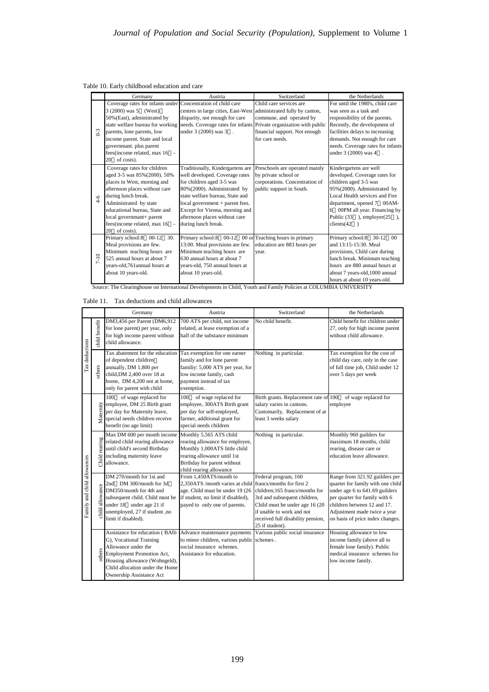Table 10. Early childhood education and care

|                         | Germany                                                                                                                                                                                                                                                                                                   | Austria                                                                                                                                                                                                                                                                                          | Switzerland                                                                                                                                                                   | the Netherlands                                                                                                                                                                                                                                                      |
|-------------------------|-----------------------------------------------------------------------------------------------------------------------------------------------------------------------------------------------------------------------------------------------------------------------------------------------------------|--------------------------------------------------------------------------------------------------------------------------------------------------------------------------------------------------------------------------------------------------------------------------------------------------|-------------------------------------------------------------------------------------------------------------------------------------------------------------------------------|----------------------------------------------------------------------------------------------------------------------------------------------------------------------------------------------------------------------------------------------------------------------|
| $0-3$                   | Coverage rates for infants under Concentration of child care<br>3 (2000) was 5 (West)<br>50% (East), administrated by<br>state welfare bureau for working<br>parents, lone parents, low<br>income parent. State and local<br>governmant, plus parent<br>fees(income related, max 16 -<br>of costs).<br>20 | centres in large cities, East-West administrated fully by canton,<br>disparity, not enough for care<br>under 3 (2000) was 3 .                                                                                                                                                                    | Child care services are<br>commune, and operated by<br>needs. Coverage rates for infants Private organization with public<br>financial support. Not enough<br>for care needs. | For until the 1980's, child care<br>was seen as a task and<br>responsibility of the parents.<br>Recently, the development of<br>facilities delays to increasing<br>demands. Not enough for care<br>needs. Coverage rates for infants<br>under 3 (2000) was 4 .       |
| $4-6$                   | Coverage rates for children<br>aged 3-5 was 85% (2000). 50%<br>places in West, morning and<br>afternoon places without care<br>during lunch break.<br>Administrated by state<br>educational bureau. State and<br>local governmant+ parent<br>fees(income related, max 16 -<br>of costs).<br>20            | Traditionally, Kindergartens are<br>well developed. Coverage rates<br>for children aged 3-5 was<br>80%(2000). Administrated by<br>state welfare bureau, State and<br>$local government + parent fees.$<br>Except for Vienna, morning and<br>afternoon places without care<br>during lunch break. | Preschools are operated mainly<br>by private school or<br>corporations. Concentration of<br>public support in South.                                                          | Kindergartens are well<br>developed. Coverage rates for<br>children aged 3-5 was<br>95%(2000). Administrated by<br>Local Health services and Fire<br>department, opened 7 00AM-<br>6 00PM all year. Financing by<br>Public $(33)$ , employer $(25)$ ,<br>clients(42) |
| $-10$<br>$\overline{ }$ | 30.<br>Primary school:8 00-12<br>Meal provisions are few.<br>Minimum teaching hours are<br>525 annual hours at about 7<br>years-old,761 annual hours at<br>about 10 years-old.<br>Source: The Clearinghouse on International Developments in Child, Youth and Family Policies at COLUMBIA UNIVERSITY      | Primary school:8 00-12 00 or Teaching hours in primary<br>13:00. Meal provisions are few.<br>Minimum teaching hours are<br>630 annual hours at about 7<br>years-old, 750 annual hours at<br>about 10 years-old.                                                                                  | education are 883 hours per<br>year.                                                                                                                                          | Primary school:8 30-12 00<br>and 13:15-15:30. Meal<br>provisions, Child care during<br>lunch break. Minimum teaching<br>hours are 880 annual hours at<br>about 7 years-old, 1000 annual<br>hours at about 10 years-old.                                              |

Table 11. Tax deductions and child allowances

|                             |                 | Germany                                                                                                                                                                                                                     | Austria                                                                                                                                                                              | Switzerland                                                                                                                                                                                                                                 | the Netherlands                                                                                                                                                                                                                           |
|-----------------------------|-----------------|-----------------------------------------------------------------------------------------------------------------------------------------------------------------------------------------------------------------------------|--------------------------------------------------------------------------------------------------------------------------------------------------------------------------------------|---------------------------------------------------------------------------------------------------------------------------------------------------------------------------------------------------------------------------------------------|-------------------------------------------------------------------------------------------------------------------------------------------------------------------------------------------------------------------------------------------|
|                             | child benefit   | DM3,456 per Parent (DM6,912<br>for lone parent) per year, only<br>for high income parent without<br>child allowance.                                                                                                        | 700 ATS per child, not income<br>related, at lease exemption of a<br>half of the substance minimum                                                                                   | No child benefit.                                                                                                                                                                                                                           | Child benefit for children under<br>27, only for high income parent<br>without child allowance.                                                                                                                                           |
| Tax deductions              | others          | Tax abatement for the education<br>of dependent children<br>annually, DM 1,800 per<br>child, DM 2,400 over 18 at<br>home, DM 4,200 not at home,<br>only for parent with child                                               | Tax exemption for one earner<br>family and for lone parent<br>familiy: 5,000 ATS per year, for<br>low income family, cash<br>payment instead of tax<br>exemption.                    | Nothing in particular.                                                                                                                                                                                                                      | Tax exemption for the cost of<br>child day care, only in the case<br>of full time job, Child under 12<br>over 5 days per week                                                                                                             |
|                             | Maternity       | of wage replaced for<br>100<br>employee, DM 25 Birth grant<br>per day for Maternity leave,<br>special needs children receive<br>benefit (no age limit)                                                                      | of wage replaced for<br>100<br>employee, 300ATS Birth grant<br>per day for self-employed,<br>farmer, additional grant for<br>special needs children                                  | Birth grants. Replacement rate of 100<br>salary varies in cantons.<br>Customarily, Replacement of at<br>least 3 weeks salary                                                                                                                | of wage replaced for<br>employee                                                                                                                                                                                                          |
|                             | Child rearing   | Max DM 600 per month income<br>related child rearing allowance<br>until child's second Birthday<br>including maternity leave<br>allowance.                                                                                  | Monthly 5,565 ATS child<br>rearing allowance for employee,<br>Monthly 1,000ATS little child<br>rearing allowance until 1st<br>Birthday for parent without<br>child rearing allowance | Nothing in particular.                                                                                                                                                                                                                      | Monthly 960 guilders for<br>maximum 18 months, child<br>rearing, disease care or<br>education leave allowance.                                                                                                                            |
| Family and child allowances | child allowance | DM 270/month for 1st and<br>2nd DM 300/month for 3d<br>DM350/month for 4th and<br>subsequent child. Child must be<br>under 18 under age 21 if<br>unemployed, 27 if student, no<br>limit if disabled).                       | From 1,450ATS/month to<br>2,350ATS /month varies at child<br>age. Child must be under 19 (26<br>if student, no limit if disabled),<br>payed to only one of parents.                  | Federal program, 160<br>francs/months for first 2<br>children:165 francs/months for<br>3rd and subsequent children,<br>Child must be under age 16 (20)<br>if unable to work and not<br>received full disability pension,<br>25 if student). | Range from 321.92 guilders per<br>quarter for family with one child<br>under age 6 to 641.69 guilders<br>per quarter for family with 6<br>children between 12 and 17.<br>Adjustment made twice a year<br>on basis of price index changes. |
|                             | others          | Assistance for education (BAfö<br>G), Vocational Training<br>Allowance under the<br><b>Employment Promotion Act,</b><br>Housing allowance (Wohngeld),<br>Child allocation under the Home<br><b>Ownership Assistance Act</b> | Advance maintenance payments<br>to minor children, various public<br>social insurance schemes.<br>Assistance for education.                                                          | Various public social insurance<br>schemes.                                                                                                                                                                                                 | Housing allowance to low<br>income family (above all to<br>female lone family). Public<br>medical insurance schemes for<br>low income family.                                                                                             |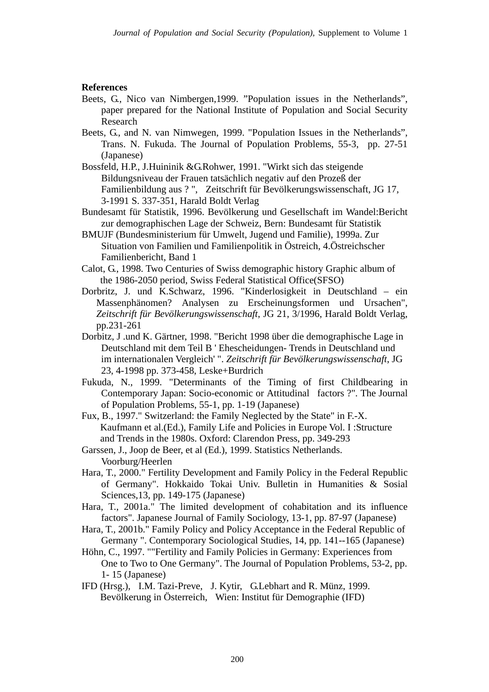## **References**

- Beets, G., Nico van Nimbergen,1999. "Population issues in the Netherlands", paper prepared for the National Institute of Population and Social Security Research
- Beets, G., and N. van Nimwegen, 1999. "Population Issues in the Netherlands", Trans. N. Fukuda. The Journal of Population Problems, 55-3, pp. 27-51 (Japanese)
- Bossfeld, H.P., J.Huininik &G.Rohwer, 1991. "Wirkt sich das steigende Bildungsniveau der Frauen tatsächlich negativ auf den Prozeß der Familienbildung aus ? ", Zeitschrift für Bevölkerungswissenschaft, JG 17, 3-1991 S. 337-351, Harald Boldt Verlag
- Bundesamt für Statistik, 1996. Bevölkerung und Gesellschaft im Wandel:Bericht zur demographischen Lage der Schweiz, Bern: Bundesamt für Statistik
- BMUJF (Bundesministerium für Umwelt, Jugend und Familie), 1999a. Zur Situation von Familien und Familienpolitik in Östreich, 4.Östreichscher Familienbericht, Band 1
- Calot, G., 1998. Two Centuries of Swiss demographic history Graphic album of the 1986-2050 period, Swiss Federal Statistical Office(SFSO)
- Dorbritz, J. und K.Schwarz, 1996. "Kinderlosigkeit in Deutschland ein Massenphänomen? Analysen zu Erscheinungsformen und Ursachen", *Zeitschrift für Bevölkerungswissenschaft*, JG 21, 3/1996, Harald Boldt Verlag, pp.231-261
- Dorbitz, J .und K. Gärtner, 1998. "Bericht 1998 über die demographische Lage in Deutschland mit dem Teil B ' Ehescheidungen- Trends in Deutschland und im internationalen Vergleich' ". *Zeitschrift für Bevölkerungswissenschaft*, JG 23, 4-1998 pp. 373-458, Leske+Burdrich
- Fukuda, N., 1999. "Determinants of the Timing of first Childbearing in Contemporary Japan: Socio-economic or Attitudinal factors ?". The Journal of Population Problems, 55-1, pp. 1-19 (Japanese)
- Fux, B., 1997." Switzerland: the Family Neglected by the State" in F.-X. Kaufmann et al.(Ed.), Family Life and Policies in Europe Vol. I :Structure and Trends in the 1980s. Oxford: Clarendon Press, pp. 349-293
- Garssen, J., Joop de Beer, et al (Ed.), 1999. Statistics Netherlands. Voorburg/Heerlen
- Hara, T., 2000." Fertility Development and Family Policy in the Federal Republic of Germany". Hokkaido Tokai Univ. Bulletin in Humanities & Sosial Sciences,13, pp. 149-175 (Japanese)
- Hara, T., 2001a." The limited development of cohabitation and its influence factors". Japanese Journal of Family Sociology, 13-1, pp. 87-97 (Japanese)
- Hara, T., 2001b." Family Policy and Policy Acceptance in the Federal Republic of Germany ". Contemporary Sociological Studies, 14, pp. 141--165 (Japanese)
- Höhn, C., 1997. ""Fertility and Family Policies in Germany: Experiences from One to Two to One Germany". The Journal of Population Problems, 53-2, pp. 1- 15 (Japanese)
- IFD (Hrsg.), I.M. Tazi-Preve, J. Kytir, G.Lebhart and R. Münz, 1999. Bevölkerung in Österreich, Wien: Institut für Demographie (IFD)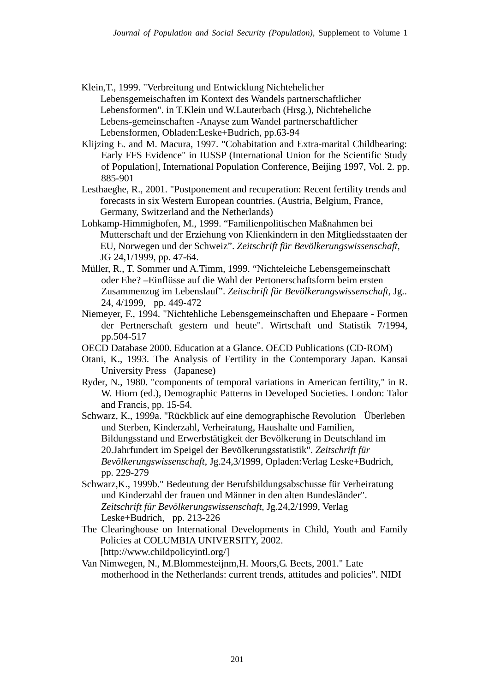- Klein,T., 1999. "Verbreitung und Entwicklung Nichtehelicher Lebensgemeischaften im Kontext des Wandels partnerschaftlicher Lebensformen". in T.Klein und W.Lauterbach (Hrsg.), Nichteheliche Lebens-gemeinschaften -Anayse zum Wandel partnerschaftlicher Lebensformen, Obladen:Leske+Budrich, pp.63-94
- Klijzing E. and M. Macura, 1997. "Cohabitation and Extra-marital Childbearing: Early FFS Evidence" in IUSSP (International Union for the Scientific Study of Population], International Population Conference, Beijing 1997, Vol. 2. pp. 885-901
- Lesthaeghe, R., 2001. "Postponement and recuperation: Recent fertility trends and forecasts in six Western European countries. (Austria, Belgium, France, Germany, Switzerland and the Netherlands)
- Lohkamp-Himmighofen, M., 1999. "Familienpolitischen Maßnahmen bei Mutterschaft und der Erziehung von Klienkindern in den Mitgliedsstaaten der EU, Norwegen und der Schweiz". *Zeitschrift für Bevölkerungswissenschaft*, JG 24,1/1999, pp. 47-64.
- Müller, R., T. Sommer und A.Timm, 1999. "Nichteleiche Lebensgemeinschaft oder Ehe? –Einflüsse auf die Wahl der Pertonerschaftsform beim ersten Zusammenzug im Lebenslauf". *Zeitschrift für Bevölkerungswissenschaft*, Jg.. 24, 4/1999, pp. 449-472
- Niemeyer, F., 1994. "Nichtehliche Lebensgemeinschaften und Ehepaare Formen der Pertnerschaft gestern und heute". Wirtschaft und Statistik 7/1994, pp.504-517
- OECD Database 2000. Education at a Glance. OECD Publications (CD-ROM)
- Otani, K., 1993. The Analysis of Fertility in the Contemporary Japan. Kansai University Press (Japanese)
- Ryder, N., 1980. "components of temporal variations in American fertility," in R. W. Hiorn (ed.), Demographic Patterns in Developed Societies. London: Talor and Francis, pp. 15-54.
- Schwarz, K., 1999a. "Rückblick auf eine demographische Revolution Überleben und Sterben, Kinderzahl, Verheiratung, Haushalte und Familien, Bildungsstand und Erwerbstätigkeit der Bevölkerung in Deutschland im 20.Jahrfundert im Speigel der Bevölkerungsstatistik". *Zeitschrift für Bevölkerungswissenschaft*, Jg.24,3/1999, Opladen:Verlag Leske+Budrich, pp. 229-279
- Schwarz,K., 1999b." Bedeutung der Berufsbildungsabschusse für Verheiratung und Kinderzahl der frauen und Männer in den alten Bundesländer". *Zeitschrift für Bevölkerungswissenschaft*, Jg.24,2/1999, Verlag Leske+Budrich, pp. 213-226
- The Clearinghouse on International Developments in Child, Youth and Family Policies at COLUMBIA UNIVERSITY, 2002. [http://www.childpolicyintl.org/]
- Van Nimwegen, N., M.Blommesteijnm,H. Moors,G. Beets, 2001." Late motherhood in the Netherlands: current trends, attitudes and policies". NIDI